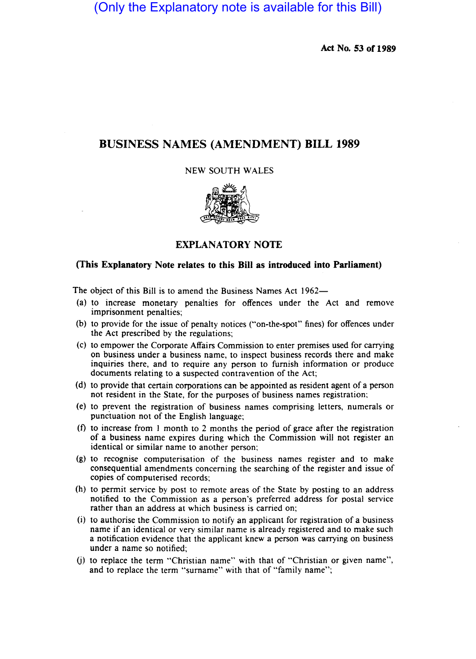# (Only the Explanatory note is available for this Bill)

**Act No. 53 of 1989** 

# **BUSINESS NAMES (AMENDMENT) BILL 1989**

NEW SOUTH WALES



# **EXPLANATORY NOTE**

# **(This Explanatory Note relates to this Bill as introduced into Parliament)**

The object of this Bill is to amend the Business Names Act 1962-

- (a) to increase monetary penalties for offences under the Act and remove imprisonment penalties;
- (b) to provide for the issue of penalty notices ("on-the-spot" fines) for offences under the Act prescribed by the regulations;
- (c) to empower the Corporate Affairs Commission to enter premises used for carrying on business under a business name, to inspect business records there and make inquiries there, and to require any person to furnish information or produce documents relating to a suspected contravention of the Act;
- (d) to provide that certain corporations can be appointed as resident agent of a person not resident in the State, for the purposes of business names registration:
- (e) to prevent the registration of business names comprising letters, numerals or punctuation not of the English language;
- (1) to increase from I month to 2 months the period of grace after the registration of a business name expires during which the Commission will not register an identical or similar name to another person;
- (g) to recognise computerisation of the business names register and to make consequential amendments concerning the searching of the register and issue of copies of computerised records;
- (h) to permit service by post to remote areas of the State by posting to an address notified to the Commission as a person's preferred address for postal service rather than an address at which business is carried on;
- (i) to authorise the Commission to notify an applicant for registration of a business name if an identical or very similar name is already registered and to make such a notification evidence that the applicant knew a person was carrying on business under a name so notified;
- (j) to replace the term "Christian name" with that of "Christian or given name", and to replace the term "surname" with that of "family name";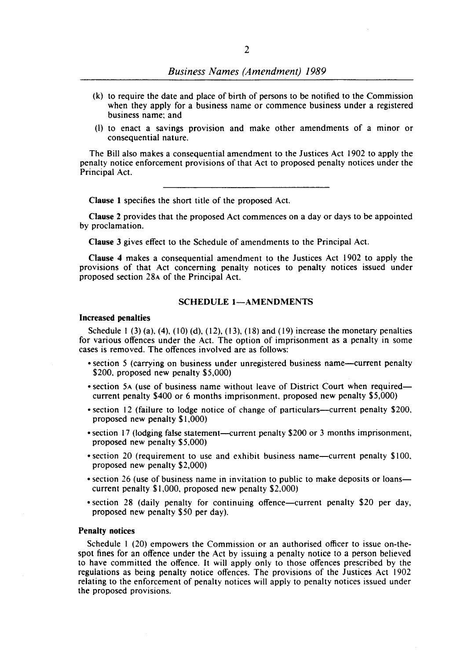- (k) to require the date and place of birth of persons to be notified to the Commission when they apply for a business name or commence business under a registered business name; and
- (I) to enact a savings provision and make other amendments of a minor or consequential nature.

The Bill also makes a consequential amendment to the Justices Act 1902 to apply the penalty notice enforcement provisions of that Act to proposed penalty notices under the Principal Act.

Clause I specifies the short title of the proposed Act.

Clause 2 provides that the proposed Act commences on a day or days to be appointed by proclamation.

Clause 3 gives effect to the Schedule of amendments to the Principal Act.

Clause 4 makes a consequential amendment to the Justices Act 1902 to apply the provisions of that Act concerning penalty notices to penalty notices issued under proposed section 28A of the Principal Act.

# SCHEDULE 1-AMENDMENTS

#### Increased penalties

Schedule 1 (3) (a), (4), (10) (d), (12), (13), (18) and (19) increase the monetary penalties for various offences under the Act. The option of imprisonment as a penalty in some cases is removed. The offences involved are as follows:

- section 5 (carrying on business under unregistered business name-current penalty \$200, proposed new penalty \$5,000)
- section 5A (use of business name without leave of District Court when required current penalty \$400 or 6 months imprisonment, proposed new penalty \$5,000)
- section 12 (failure to lodge notice of change of particulars—current penalty \$200, proposed new penalty \$1,000)
- section 17 (lodging false statement—current penalty \$200 or 3 months imprisonment, proposed new penalty \$5,000)
- section 20 (requirement to use and exhibit business name—current penalty \$100, proposed new penalty \$2,000)
- section 26 (use of business name in invitation to public to make deposits or loans current penalty \$1,000, proposed new penalty \$2,000)
- section 28 (daily penalty for continuing offence—current penalty \$20 per day, proposed new penalty \$50 per day).

#### Penalty notices

Schedule I (20) empowers the Commission or an authorised officer to issue on-thespot fines for an offence under the Act by issuing a penalty notice to a person believed to have committed the offence. It will apply only to those offences prescribed by the regulations as being penalty notice offences. The provisions of the Justices Act 1902 relating to the enforcement of penalty notices will apply to penalty notices issued under the proposed provisions.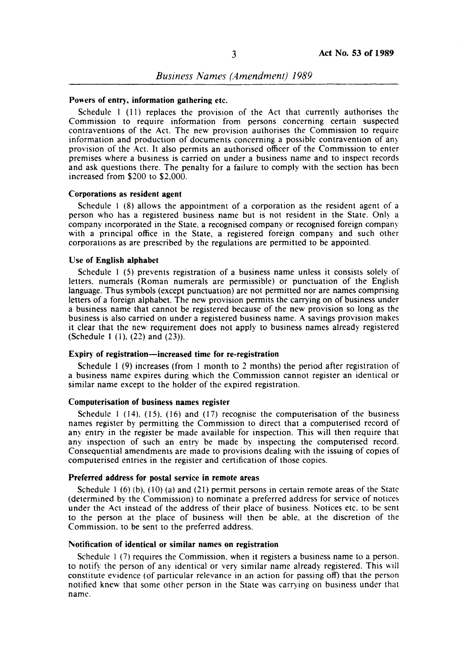### Powers of entry, information gathering etc.

Schedule  $1$  (11) replaces the provision of the Act that currently authorises the Commission to require information from persons concerning certain suspected contraventions of the Act. The new provision authorises the Commission to require information and production of documents concerning a possible contravention of any provision of the Act. It also permits an authorised officer of the Commission to enter premises where a business is carried on under a business name and to inspect records and ask questions there. The penalty for a failure to comply with the section has been increased from \$200 to \$2,000.

### Corporations as resident agent

Schedule I (8) allows the appointment of a corporation as the resident agent of a person who has a registered business name but is not resident in the State. Only a company incorporated in the State. a recognised company or recognised foreign company with a principal office in the State, a registered foreign company and such other corporations as are prescribed by the regulations are permitted to be appointed.

### Use of English alphabet

Schedule I (5) prevents registration of a business name unless it consists solely of letters. numerals (Roman numerals are permissible) or punctuation of the English language. Thus symbols (except punctuation) are not permitted nor are names comprising letters of a foreign alphabet. The new provision permits the carrying on of business under a business name that cannot be registered because of the new provision so long as the business is also carried on under a registered business name. A savings provision makes it clear that the new requirement does not apply to business names already registered (Schedule I (I), (22) and (23».

### Expiry of registration-increased time for re-registration

Schedule I (9) increases (from I month to 2 months) the period after registration of a business name expires during which the Commission cannot register an identical or similar name except to the holder of the expired registration.

### Computerisation of business names register

Schedule 1 (14),  $(15)$ ,  $(16)$  and  $(17)$  recognise the computerisation of the business names register by permitting the Commission to direct that a computerised record of any entry in the register be made available for inspection. This will then require that any inspection of such an entry be made by inspecting the computerised record. Consequential amendments are made to provisions dealing with the issuing of copies of computerised entries in the register and certification of those copies.

#### Preferred address for postal service in remote areas

Schedule  $1(6)(b)$ ,  $(10)(a)$  and  $(21)$  permit persons in certain remote areas of the State (determined by the Commission) to nominate a preferred address for service of notice~ under the Act instead of the address of their place of business. Notices etc. to be sent to the person at the place of business will then be able, at the discretion of the Commission. to be sent to the preferred address.

#### Notification of identical or similar names on registration

Schedule 1 (7) requires the Commission, when it registers a business name to a person. to notify the person of any identical or very similar name already registered. This will constitute evidence (of particular relevance in an action for passing off) that the person notified knew that some other person in the State was carrying on business under that name.